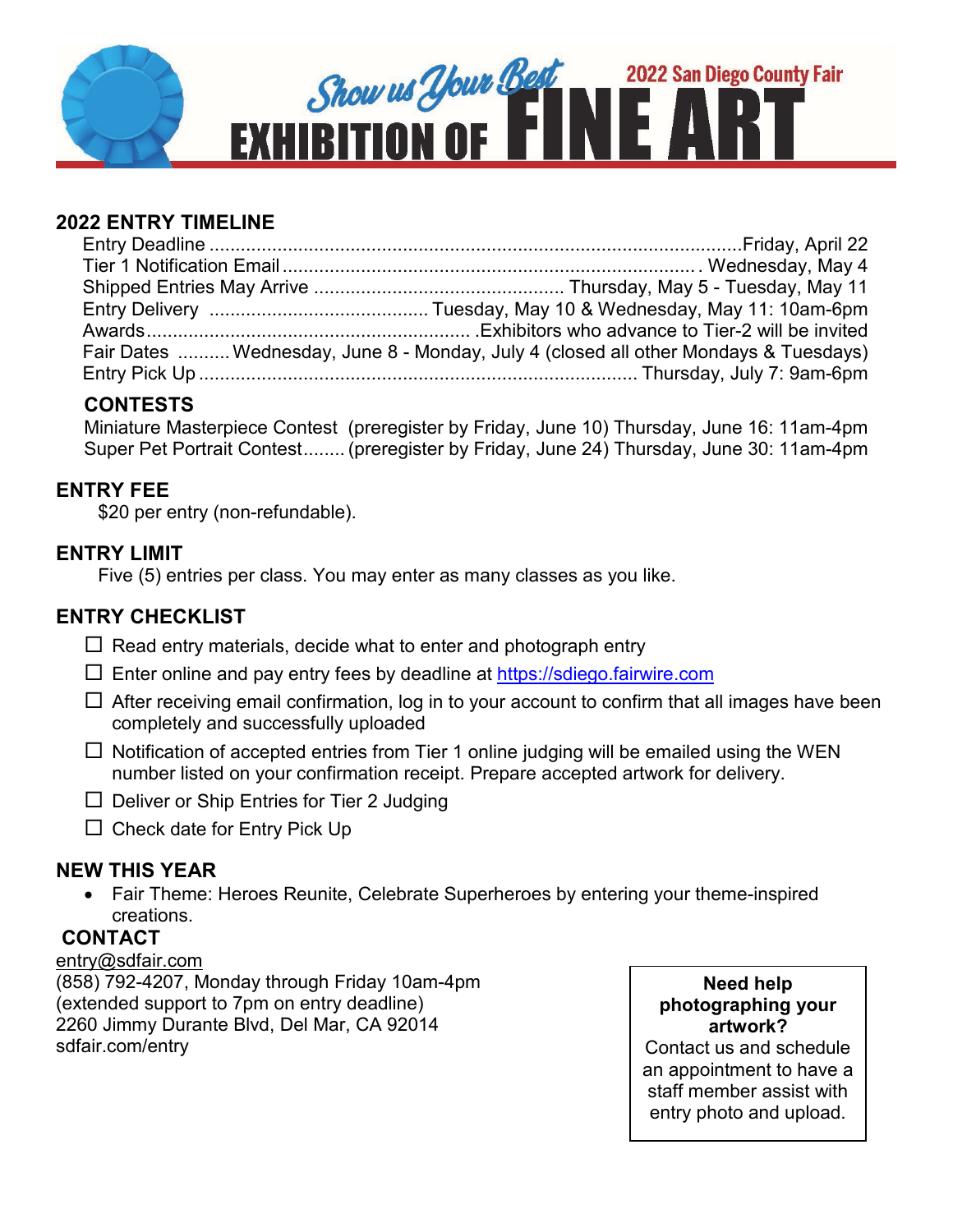

## **2022 ENTRY TIMELINE**

| Fair Dates  Wednesday, June 8 - Monday, July 4 (closed all other Mondays & Tuesdays) |
|--------------------------------------------------------------------------------------|
|                                                                                      |

## **CONTESTS**

Miniature Masterpiece Contest (preregister by Friday, June 10) Thursday, June 16: 11am-4pm Super Pet Portrait Contest........ (preregister by Friday, June 24) Thursday, June 30: 11am-4pm

## **ENTRY FEE**

\$20 per entry (non-refundable).

## **ENTRY LIMIT**

Five (5) entries per class. You may enter as many classes as you like.

## **ENTRY CHECKLIST**

- $\Box$  Read entry materials, decide what to enter and photograph entry
- $\square$  Enter online and pay entry fees by deadline at [https://sdiego.fairwire.com](https://sdiego.fairwire.com/)
- $\Box$  After receiving email confirmation, log in to your account to confirm that all images have been completely and successfully uploaded
- $\Box$  Notification of accepted entries from Tier 1 online judging will be emailed using the WEN number listed on your confirmation receipt. Prepare accepted artwork for delivery.
- $\Box$  Deliver or Ship Entries for Tier 2 Judging
- $\Box$  Check date for Entry Pick Up

## **NEW THIS YEAR**

• Fair Theme: Heroes Reunite, Celebrate Superheroes by entering your theme-inspired creations.

## **CONTACT**

### [entry@sdfair.com](mailto:entry@sdfair.com)

(858) 792-4207, Monday through Friday 10am-4pm (extended support to 7pm on entry deadline) 2260 Jimmy Durante Blvd, Del Mar, CA 92014 sdfair.com/entry

**Need help photographing your artwork?**

Contact us and schedule an appointment to have a staff member assist with entry photo and upload.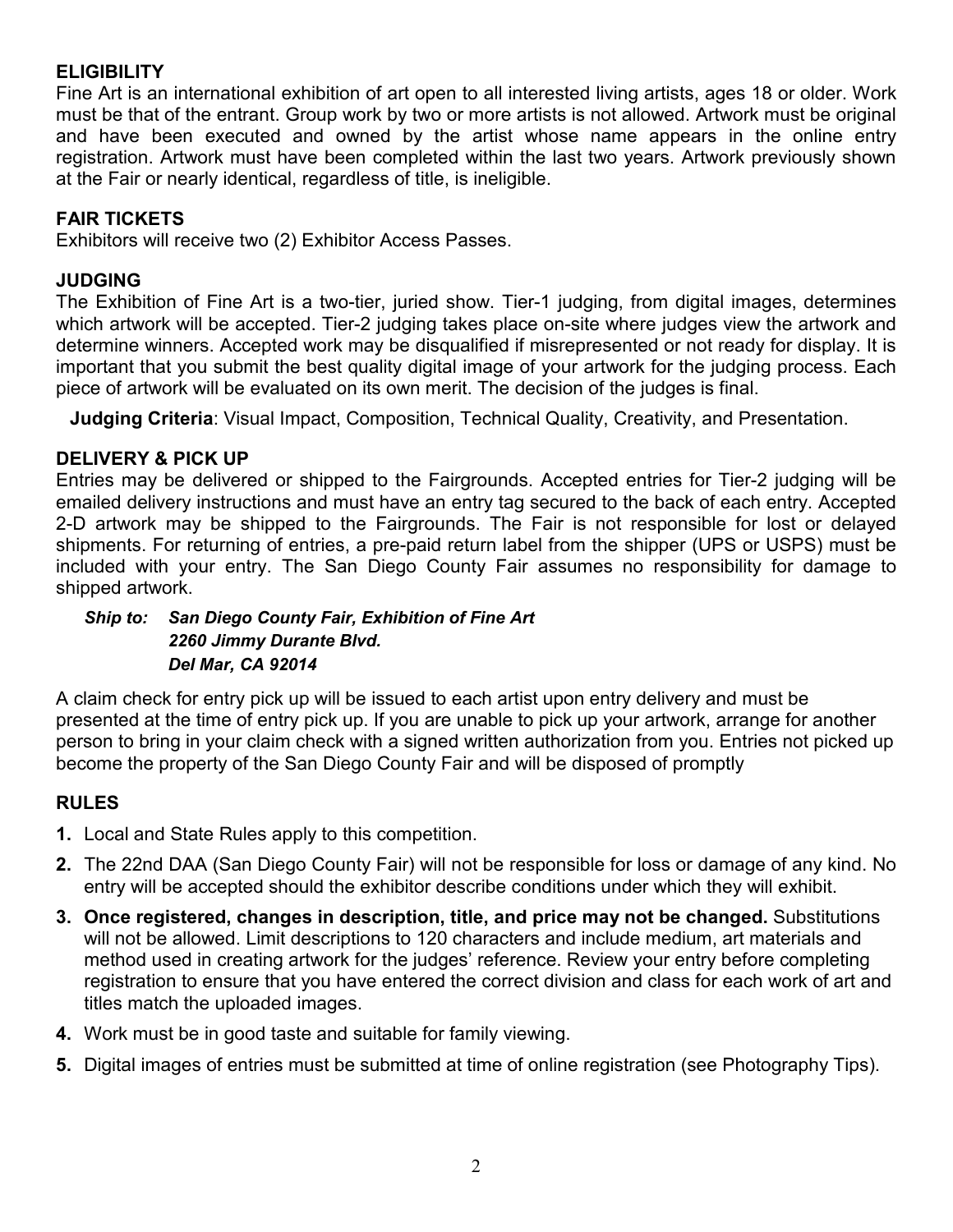### **ELIGIBILITY**

Fine Art is an international exhibition of art open to all interested living artists, ages 18 or older. Work must be that of the entrant. Group work by two or more artists is not allowed. Artwork must be original and have been executed and owned by the artist whose name appears in the online entry registration. Artwork must have been completed within the last two years. Artwork previously shown at the Fair or nearly identical, regardless of title, is ineligible.

### **FAIR TICKETS**

Exhibitors will receive two (2) Exhibitor Access Passes.

### **JUDGING**

The Exhibition of Fine Art is a two-tier, juried show. Tier-1 judging, from digital images, determines which artwork will be accepted. Tier-2 judging takes place on-site where judges view the artwork and determine winners. Accepted work may be disqualified if misrepresented or not ready for display. It is important that you submit the best quality digital image of your artwork for the judging process. Each piece of artwork will be evaluated on its own merit. The decision of the judges is final.

**Judging Criteria**: Visual Impact, Composition, Technical Quality, Creativity, and Presentation.

### **DELIVERY & PICK UP**

Entries may be delivered or shipped to the Fairgrounds. Accepted entries for Tier-2 judging will be emailed delivery instructions and must have an entry tag secured to the back of each entry. Accepted 2-D artwork may be shipped to the Fairgrounds. The Fair is not responsible for lost or delayed shipments. For returning of entries, a pre-paid return label from the shipper (UPS or USPS) must be included with your entry. The San Diego County Fair assumes no responsibility for damage to shipped artwork.

#### *Ship to: San Diego County Fair, Exhibition of Fine Art 2260 Jimmy Durante Blvd. Del Mar, CA 92014*

A claim check for entry pick up will be issued to each artist upon entry delivery and must be presented at the time of entry pick up. If you are unable to pick up your artwork, arrange for another person to bring in your claim check with a signed written authorization from you. Entries not picked up become the property of the San Diego County Fair and will be disposed of promptly

## **RULES**

- **1.** Local and State Rules apply to this competition.
- **2.** The 22nd DAA (San Diego County Fair) will not be responsible for loss or damage of any kind. No entry will be accepted should the exhibitor describe conditions under which they will exhibit.
- **3. Once registered, changes in description, title, and price may not be changed.** Substitutions will not be allowed. Limit descriptions to 120 characters and include medium, art materials and method used in creating artwork for the judges' reference. Review your entry before completing registration to ensure that you have entered the correct division and class for each work of art and titles match the uploaded images.
- **4.** Work must be in good taste and suitable for family viewing.
- **5.** Digital images of entries must be submitted at time of online registration (see Photography Tips).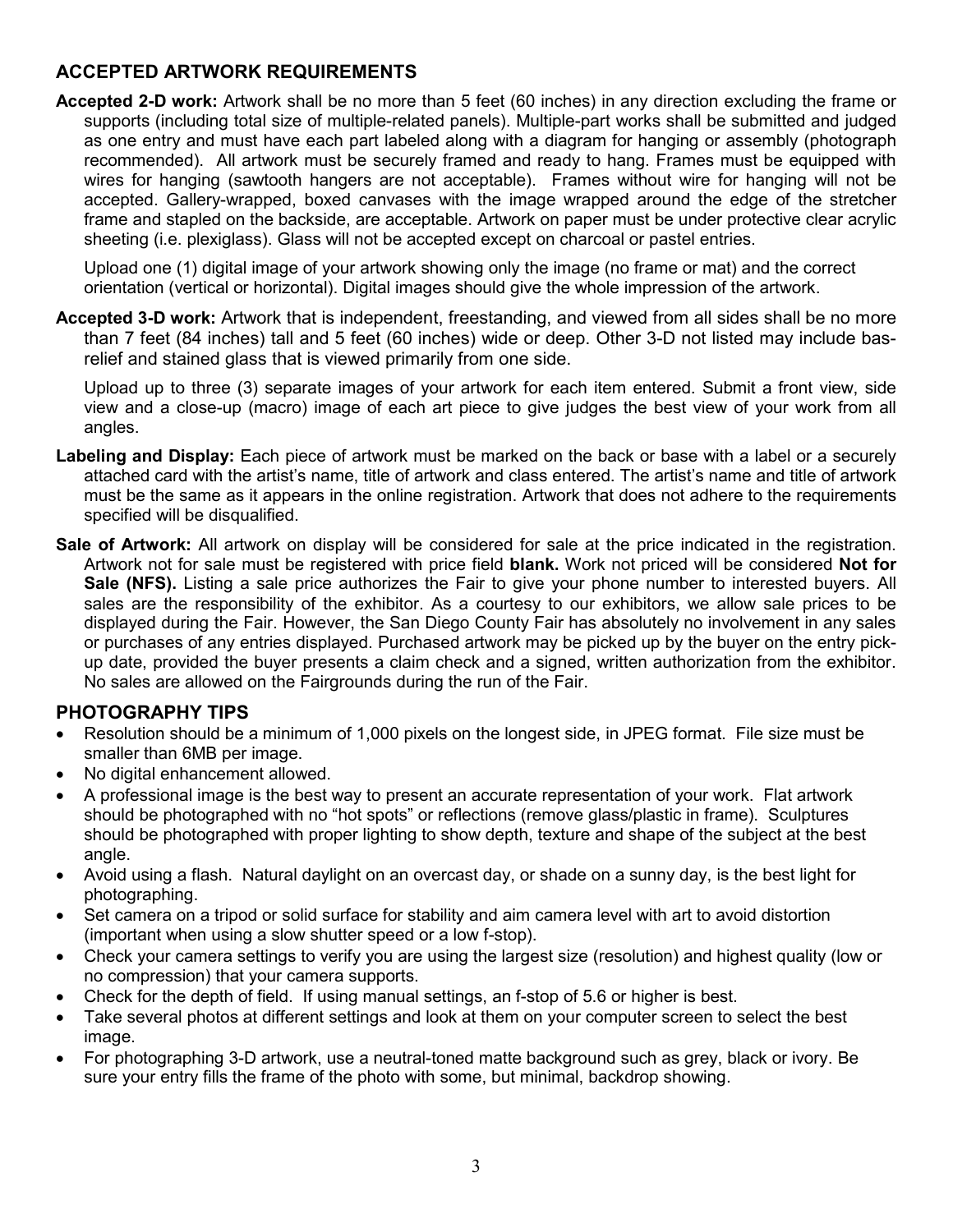### **ACCEPTED ARTWORK REQUIREMENTS**

**Accepted 2-D work:** Artwork shall be no more than 5 feet (60 inches) in any direction excluding the frame or supports (including total size of multiple-related panels). Multiple-part works shall be submitted and judged as one entry and must have each part labeled along with a diagram for hanging or assembly (photograph recommended). All artwork must be securely framed and ready to hang. Frames must be equipped with wires for hanging (sawtooth hangers are not acceptable). Frames without wire for hanging will not be accepted. Gallery-wrapped, boxed canvases with the image wrapped around the edge of the stretcher frame and stapled on the backside, are acceptable. Artwork on paper must be under protective clear acrylic sheeting (i.e. plexiglass). Glass will not be accepted except on charcoal or pastel entries.

Upload one (1) digital image of your artwork showing only the image (no frame or mat) and the correct orientation (vertical or horizontal). Digital images should give the whole impression of the artwork.

**Accepted 3-D work:** Artwork that is independent, freestanding, and viewed from all sides shall be no more than 7 feet (84 inches) tall and 5 feet (60 inches) wide or deep. Other 3-D not listed may include basrelief and stained glass that is viewed primarily from one side.

Upload up to three (3) separate images of your artwork for each item entered. Submit a front view, side view and a close-up (macro) image of each art piece to give judges the best view of your work from all angles.

- **Labeling and Display:** Each piece of artwork must be marked on the back or base with a label or a securely attached card with the artist's name, title of artwork and class entered. The artist's name and title of artwork must be the same as it appears in the online registration. Artwork that does not adhere to the requirements specified will be disqualified.
- **Sale of Artwork:** All artwork on display will be considered for sale at the price indicated in the registration. Artwork not for sale must be registered with price field **blank.** Work not priced will be considered **Not for Sale (NFS).** Listing a sale price authorizes the Fair to give your phone number to interested buyers. All sales are the responsibility of the exhibitor. As a courtesy to our exhibitors, we allow sale prices to be displayed during the Fair. However, the San Diego County Fair has absolutely no involvement in any sales or purchases of any entries displayed. Purchased artwork may be picked up by the buyer on the entry pickup date, provided the buyer presents a claim check and a signed, written authorization from the exhibitor. No sales are allowed on the Fairgrounds during the run of the Fair.

### **PHOTOGRAPHY TIPS**

- Resolution should be a minimum of 1,000 pixels on the longest side, in JPEG format. File size must be smaller than 6MB per image.
- No digital enhancement allowed.
- A professional image is the best way to present an accurate representation of your work. Flat artwork should be photographed with no "hot spots" or reflections (remove glass/plastic in frame). Sculptures should be photographed with proper lighting to show depth, texture and shape of the subject at the best angle.
- Avoid using a flash. Natural daylight on an overcast day, or shade on a sunny day, is the best light for photographing.
- Set camera on a tripod or solid surface for stability and aim camera level with art to avoid distortion (important when using a slow shutter speed or a low f-stop).
- Check your camera settings to verify you are using the largest size (resolution) and highest quality (low or no compression) that your camera supports.
- Check for the depth of field. If using manual settings, an f-stop of 5.6 or higher is best.
- Take several photos at different settings and look at them on your computer screen to select the best image.
- For photographing 3-D artwork, use a neutral-toned matte background such as grey, black or ivory. Be sure your entry fills the frame of the photo with some, but minimal, backdrop showing.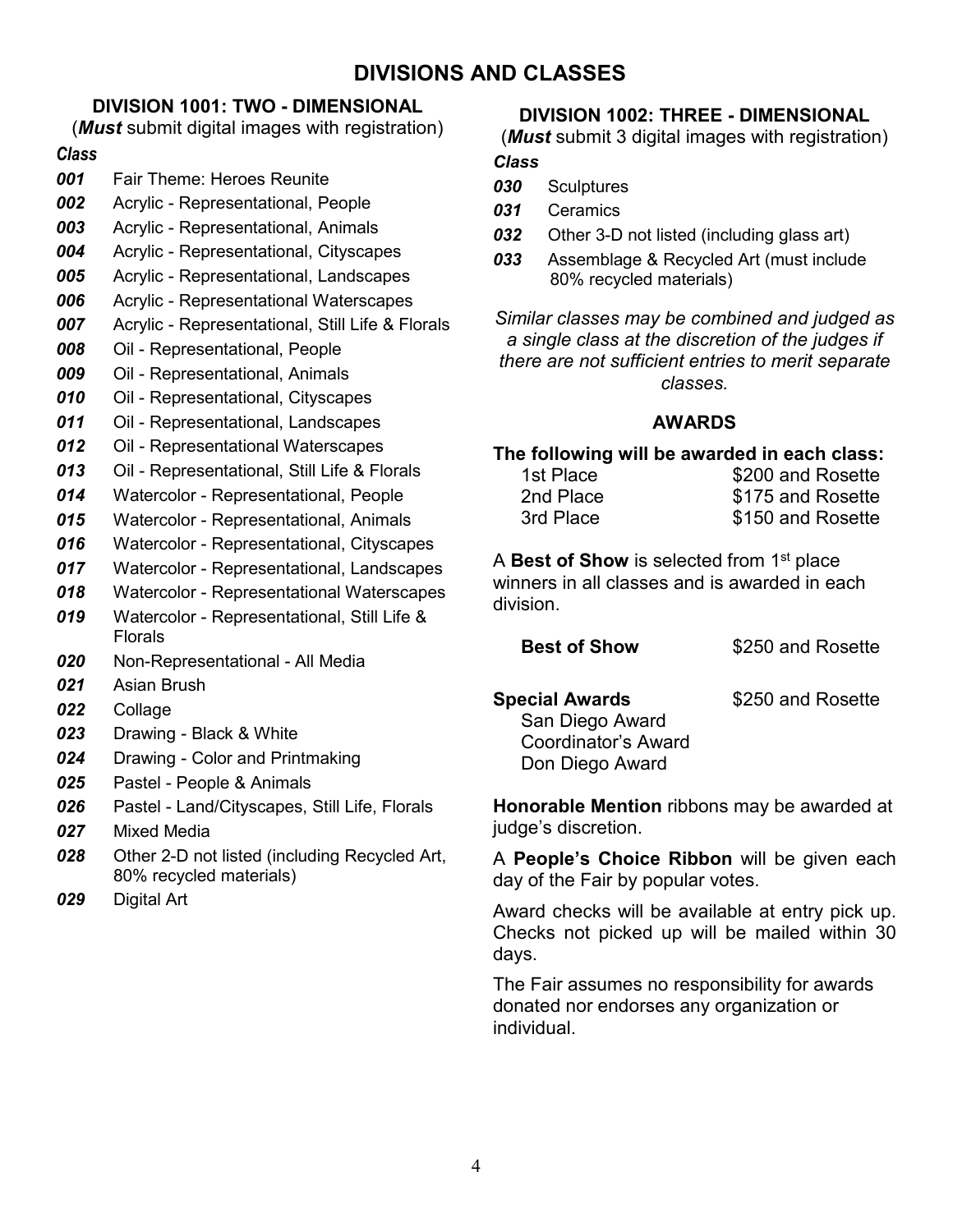## **DIVISIONS AND CLASSES**

### **DIVISION 1001: TWO - DIMENSIONAL**

(*Must* submit digital images with registration)

#### *Class*

- *001* Fair Theme: Heroes Reunite
- *002* Acrylic Representational, People
- *003* Acrylic Representational, Animals
- *004* Acrylic Representational, Cityscapes
- *005* Acrylic Representational, Landscapes
- *006* Acrylic Representational Waterscapes
- *007* Acrylic Representational, Still Life & Florals
- *008* Oil Representational, People
- *009* Oil Representational, Animals
- *010* Oil Representational, Cityscapes
- *011* Oil Representational, Landscapes
- *012* Oil Representational Waterscapes
- *013* Oil Representational, Still Life & Florals
- *014* Watercolor Representational, People
- *015* Watercolor Representational, Animals
- *016* Watercolor Representational, Cityscapes
- *017* Watercolor Representational, Landscapes
- *018* Watercolor Representational Waterscapes
- *019* Watercolor Representational, Still Life & Florals
- *020* Non-Representational All Media
- *021* Asian Brush
- *022* Collage
- *023* Drawing Black & White
- *024* Drawing Color and Printmaking
- *025* Pastel People & Animals
- *026* Pastel Land/Cityscapes, Still Life, Florals
- *027* Mixed Media
- *028* Other 2-D not listed (including Recycled Art, 80% recycled materials)
- *029* Digital Art

#### **DIVISION 1002: THREE - DIMENSIONAL**

(*Must* submit 3 digital images with registration)

#### *Class*

- *030* Sculptures
- *031* Ceramics
- *032* Other 3-D not listed (including glass art)
- *033* Assemblage & Recycled Art (must include 80% recycled materials)

*Similar classes may be combined and judged as a single class at the discretion of the judges if there are not sufficient entries to merit separate classes.*

#### **AWARDS**

#### **The following will be awarded in each class:**

| 1st Place | \$200 and Rosette |
|-----------|-------------------|
| 2nd Place | \$175 and Rosette |
| 3rd Place | \$150 and Rosette |

A **Best of Show** is selected from 1<sup>st</sup> place winners in all classes and is awarded in each division.

| <b>Best of Show</b> | \$250 and Rosette |
|---------------------|-------------------|
|---------------------|-------------------|

**Special Awards** \$250 and Rosette

San Diego Award Coordinator's Award Don Diego Award

**Honorable Mention** ribbons may be awarded at judge's discretion.

A **People's Choice Ribbon** will be given each day of the Fair by popular votes.

Award checks will be available at entry pick up. Checks not picked up will be mailed within 30 days.

The Fair assumes no responsibility for awards donated nor endorses any organization or individual.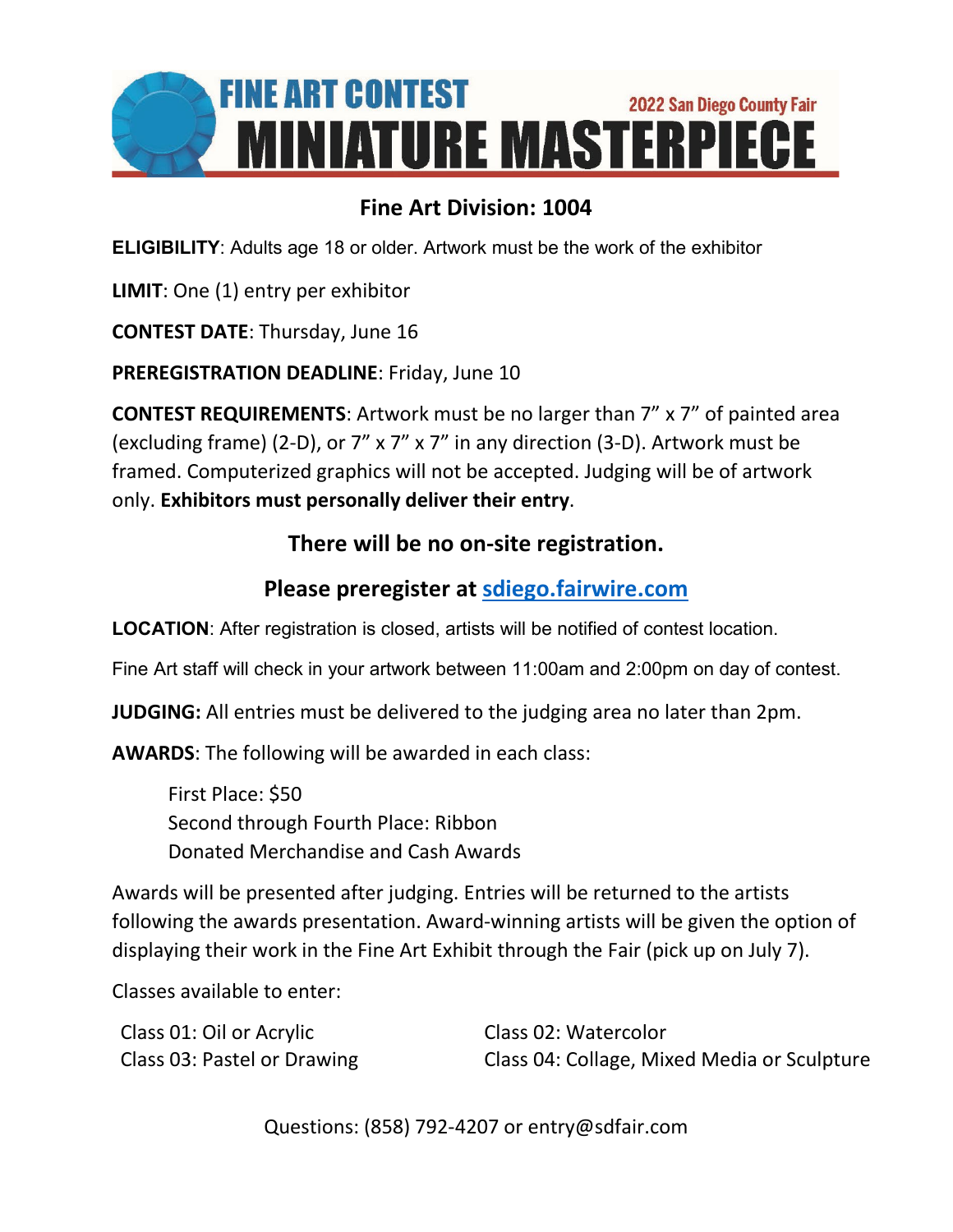

# **Fine Art Division: 1004**

**ELIGIBILITY**: Adults age 18 or older. Artwork must be the work of the exhibitor

**LIMIT**: One (1) entry per exhibitor

**CONTEST DATE**: Thursday, June 16

**PREREGISTRATION DEADLINE**: Friday, June 10

**CONTEST REQUIREMENTS**: Artwork must be no larger than 7" x 7" of painted area (excluding frame) (2-D), or 7" x 7" x 7" in any direction (3-D). Artwork must be framed. Computerized graphics will not be accepted. Judging will be of artwork only. **Exhibitors must personally deliver their entry**.

## **There will be no on-site registration.**

# **Please preregister at [sdiego.fairwire.com](https://sdiego.fairwire.com/)**

**LOCATION**: After registration is closed, artists will be notified of contest location.

Fine Art staff will check in your artwork between 11:00am and 2:00pm on day of contest.

**JUDGING:** All entries must be delivered to the judging area no later than 2pm.

**AWARDS**: The following will be awarded in each class:

First Place: \$50 Second through Fourth Place: Ribbon Donated Merchandise and Cash Awards

Awards will be presented after judging. Entries will be returned to the artists following the awards presentation. Award-winning artists will be given the option of displaying their work in the Fine Art Exhibit through the Fair (pick up on July 7).

Classes available to enter:

| Class 01: Oil or Acrylic    | Class 02: Watercolor                        |
|-----------------------------|---------------------------------------------|
| Class 03: Pastel or Drawing | Class 04: Collage, Mixed Media or Sculpture |

Questions: (858) 792-4207 or entry@sdfair.com